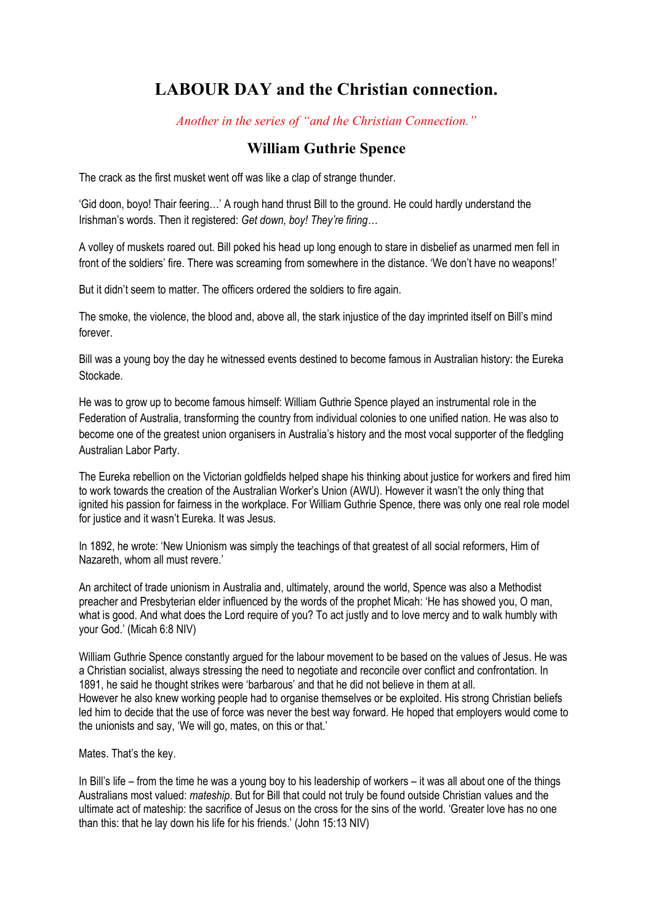## **LABOUR DAY and the Christian connection.**

*Another in the series of "and the Christian Connection."*

## **William Guthrie Spence**

The crack as the first musket went off was like a clap of strange thunder.

'Gid doon, boyo! Thair feering…' A rough hand thrust Bill to the ground. He could hardly understand the Irishman's words. Then it registered: *Get down, boy! They're firing…*

A volley of muskets roared out. Bill poked his head up long enough to stare in disbelief as unarmed men fell in front of the soldiers' fire. There was screaming from somewhere in the distance. 'We don't have no weapons!'

But it didn't seem to matter. The officers ordered the soldiers to fire again.

The smoke, the violence, the blood and, above all, the stark injustice of the day imprinted itself on Bill's mind forever.

Bill was a young boy the day he witnessed events destined to become famous in Australian history: the Eureka Stockade.

He was to grow up to become famous himself: William Guthrie Spence played an instrumental role in the Federation of Australia, transforming the country from individual colonies to one unified nation. He was also to become one of the greatest union organisers in Australia's history and the most vocal supporter of the fledgling Australian Labor Party.

The Eureka rebellion on the Victorian goldfields helped shape his thinking about justice for workers and fired him to work towards the creation of the Australian Worker's Union (AWU). However it wasn't the only thing that ignited his passion for fairness in the workplace. For William Guthrie Spence, there was only one real role model for justice and it wasn't Eureka. It was Jesus.

In 1892, he wrote: 'New Unionism was simply the teachings of that greatest of all social reformers, Him of Nazareth, whom all must revere.'

An architect of trade unionism in Australia and, ultimately, around the world, Spence was also a Methodist preacher and Presbyterian elder influenced by the words of the prophet Micah: 'He has showed you, O man, what is good. And what does the Lord require of you? To act justly and to love mercy and to walk humbly with your God.' (Micah 6:8 NIV)

William Guthrie Spence constantly argued for the labour movement to be based on the values of Jesus. He was a Christian socialist, always stressing the need to negotiate and reconcile over conflict and confrontation. In 1891, he said he thought strikes were 'barbarous' and that he did not believe in them at all. However he also knew working people had to organise themselves or be exploited. His strong Christian beliefs led him to decide that the use of force was never the best way forward. He hoped that employers would come to the unionists and say, 'We will go, mates, on this or that.'

Mates. That's the key.

In Bill's life – from the time he was a young boy to his leadership of workers – it was all about one of the things Australians most valued: *mateship*. But for Bill that could not truly be found outside Christian values and the ultimate act of mateship: the sacrifice of Jesus on the cross for the sins of the world. 'Greater love has no one than this: that he lay down his life for his friends.' (John 15:13 NIV)